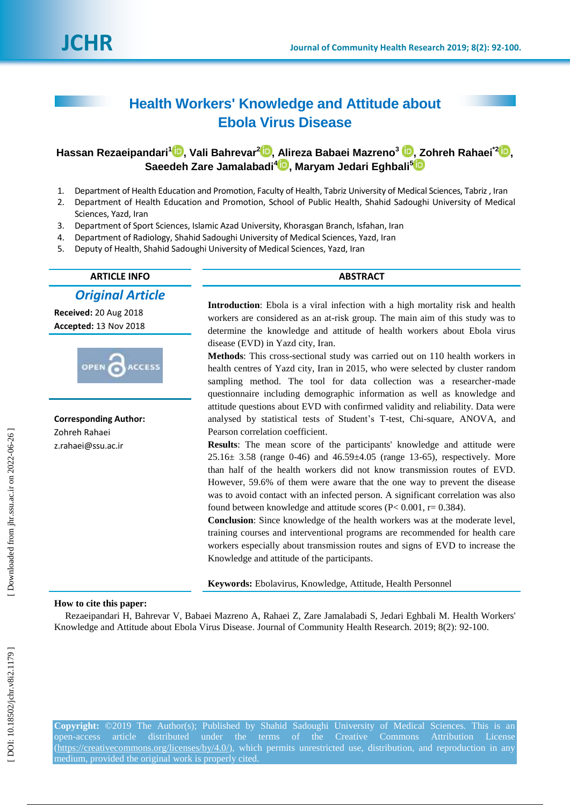# **Health Workers' Knowledge and Attitude about Ebola Virus Disease**

# $\mathbf{H}$ assan Rezaeipandari $^1\mathbf{D}$ [,](https://orcid.org/0000-0001-6159-5536) Vali Bahrevar $^2\mathbf{D}$  $^2\mathbf{D}$  $^2\mathbf{D}$ , Alireza Babaei Mazreno $^3\mathbf{D}$ , Zohreh Rahaei $^2\mathbf{D}$ , **Saeedeh Zare Jamalabadi 4 [,](https://orcid.org/0000-0003-4582-142X) Maryam Jedari Eghbali 5**

- 1. Department of Health Education and Promotion, Faculty of Health, Tabriz University of Medical Sciences, Tabriz , Iran
- 2. Department of Health Education and Promotion, School of Public Health, Shahid Sadoughi University of Medical Sciences, Yazd, Iran
- 3. Department of Sport Sciences, Islamic Azad University, Khorasgan Branch, Isfahan, Iran
- 4. Department of Radiology, Shahid Sadoughi University of Medical Sciences, Yazd, Iran
- 5. Deputy of Health, Shahid Sadoughi University of Medical Sciences, Yazd, Iran

# **ARTICLE INFO ABSTRACT**

*Original Article*

**Received:** 20 Aug 2018 **Accepted:** 31 Nov 2018



**Corresponding Author:** Zohreh Rahaei z.rahaei@ssu.ac.ir

**Introduction**: Ebola is a viral infection with a high mortality risk and health workers are considered as an at-risk group. The main aim of this study was to determine the knowledge and attitude of health workers about Ebola virus disease (EVD) in Yazd city, Iran.

**Methods**: This cross -sectional study was carried out on 110 health workers in health centres of Yazd city, Iran in 2015, who were selected by cluster random sampling method. The tool for data collection was a researcher -made questionnaire including demographic information as well as knowledge and attitude questions about EVD with confirmed validity and reliability. Data were analysed by statistical tests of Student's T -test, Chi -square, ANOVA, and Pearson correlation coefficient.

**Results**: The mean score of the participants' knowledge and attitude were  $25.16 \pm 3.58$  (range 0-46) and 46.59 $\pm$ 4.05 (range 13-65), respectively. More than half of the health workers did not know transmission routes of EVD. However, 59.6% of them were aware that the one way to prevent the disease was to avoid contact with an infected person. A significant correlation was also found between knowledge and attitude scores ( $P < 0.001$ ,  $r = 0.384$ ).

**Conclusion**: Since knowledge of the health workers was at the moderate level, training courses and interventional programs are recommended for health care workers especially about transmission routes and signs of EVD to increase the Knowledge and attitude of the participants.

**Keywords:** Ebolavirus, Knowledge, Attitude, Health Personnel

#### **How to cite this paper:**

Rezaeipandari H, Bahrevar V, Babaei Mazreno A, Rahaei Z, Zare Jamalabadi S, Jedari Eghbali M. Health Workers' Knowledge and Attitude about Ebola Virus Disease. Journal of Community Health Research. 2019; 8(2): 92 -100 .

**Copyright:** ©2019 The Author(s); Published by Shahid Sadoughi University of Medical Sciences. This is an open-access article distributed under the terms of the Creative Commons Attribution License [\(https://creativecommons.org/licenses/by/4.0/\)](https://creativecommons.org/licenses/by/4.0/), which permits unrestricted use, distribution, and reproduction in any medium, provided the original work is properly cited.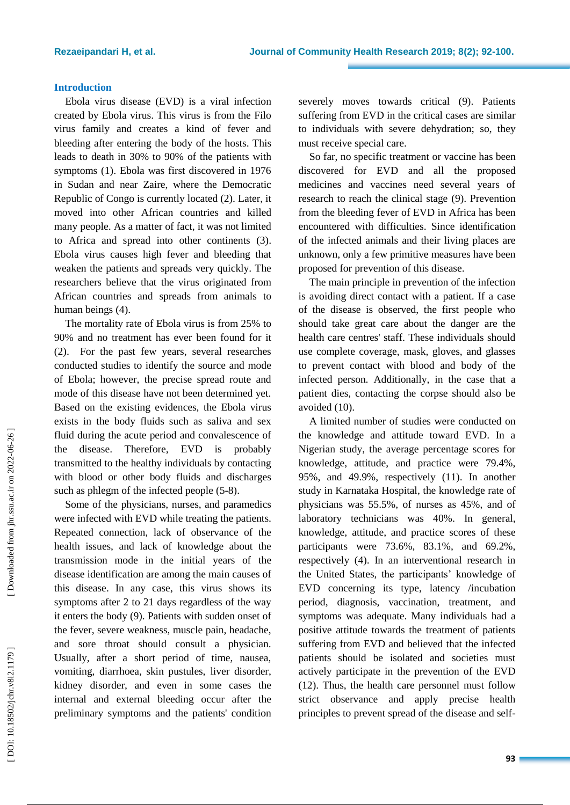# **Introduction**

Ebola virus disease (EVD) is a viral infection created by Ebola virus. This virus is from the Filo virus family and creates a kind of fever and bleeding after entering the body of the hosts. This leads to death in 30 % to 90 % of the patients with symptoms (1). Ebola was first discovered in 1976 in Sudan and near Zaire, where the Democratic Republic of Congo is currently located (2). Later, it moved into other African countries and killed many people. As a matter of fact, it was not limited to Africa and spread into other continents (3). Ebola virus causes high fever and bleeding that weaken the patients and spread s very quickly. The researchers believe that the virus originated from African countries and spreads from animals to human beings (4).

The mortality rate of Ebola virus is from 25% to 90 % and no treatment has ever been found for it (2). For the past few years, several researches conducted studies to identify the source and mode of Ebola; however, the precise spread route and mode of this disease have not been determined yet. Based on the existing evidences, the Ebola virus exists in the body fluids such as saliva and sex fluid during the acute period and convalescence of the disease. Therefore, EVD is probably transmitted to the healthy individuals by contacting with blood or other body fluids and discharges such as phlegm of the infected people  $(5-8)$ .

Some of the physicians, nurses, and paramedics were infected with EVD while treating the patients. Repeated connection, lack of observance of the health issues, and lack of knowledge about the transmission mode in the initial years of the disease identification are among the main causes of this disease. In any case, this virus shows its symptoms after 2 to 21 days regardless of the way it enters the body (9). Patients with sudden onset of the fever, severe weakness, muscle pain, headache, and sore throat should consult a physician. Usually, after a short period of time, nausea, vomiting, diarrhoea, skin pustules, liver disorder , kidney disorder, and even in some cases the internal and external bleeding occur after the preliminary symptoms and the patients' condition

severely move s towards critical (9). Patients suffering from EVD in the critical cases are similar to individuals with severe dehydration; so, they must receive special care.

So far, no specific treatment or vaccine has been discovered for EVD and all the proposed medicines and vaccines need several years of research to reach the clinical stage ( 9 ) . Prevention from the bleeding fever of EVD in Africa has been encountered with difficulties. Since identification of the infected animals and their living places are unknown , only a few primitive measures have been proposed for prevention of this disease.

The main principle in prevention of the infection is avoiding direct contact with a patient. If a case of the disease is observed, the first people who should take great care about the danger are the health care centres' staff. These individuals should use complete coverage, mask, gloves, and glasses to prevent contact with blood and body of the infected person. Additionally, in the case that a patient dies, contacting the corpse should also be avoided (10 ).

A limited number of studies were conducted on the knowledge and attitude toward EVD. In a Nigerian study, the average percentage scores for knowledge, attitude, and practice were 79.4%, 95%, and 49.9%, respectively (11 ). In another study in Karnataka Hospital, the knowledge rate of physicians was 55.5%, of nurses as 45%, and of laboratory technicians was 40%. In general, knowledge, attitude, and practice scores of these participants were 73.6%, 83.1%, and 69.2%, respectively (4). In an interventional research in the United States, the participants' knowledge of EVD concerning its type, latency /incubation period, diagnosis, vaccination, treatment, and symptoms was adequate. Many individuals had a positive attitude towards the treatment of patients suffering from EVD and believed that the infected patients should be isolated and societies must actively participate in the prevention of the EVD (12). Thus, the health care personnel must follow strict observance and apply precise health principles to prevent spread of the disease and self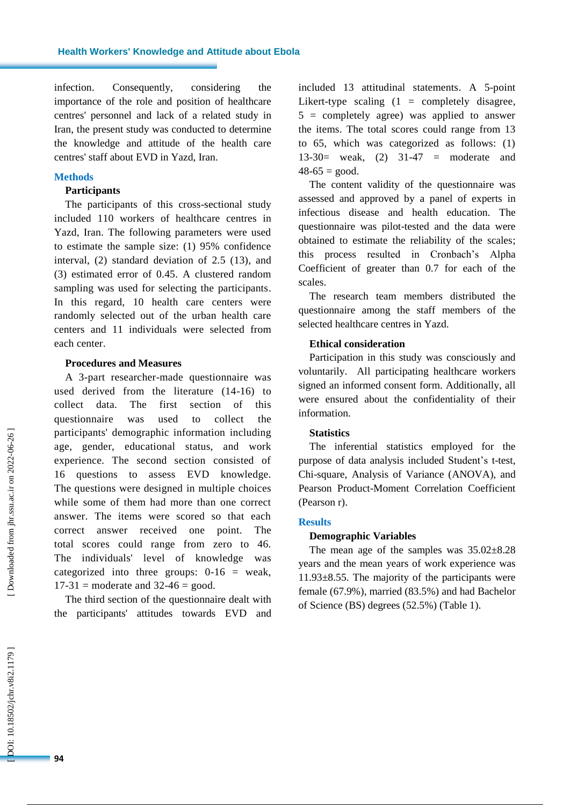infection. Consequently, considering the importance of the role and position of healthcare centres' personnel and lack of a related study in Iran, the present study was conducted to determine the knowledge and attitude of the health care centres' staff about EVD in Yazd, Iran.

#### **Methods**

# **Participants**

Th e participants of this cross -sectional study included 110 workers of healthcare centres in Yazd, Iran. The following parameters were used to estimate the sample size: (1) 95% confidence interval, (2) standard deviation of 2.5 (13), and (3) estimated error of 0.45. A clustered random sampling was used for selecting the participants. In this regard, 10 health care centers were randomly selected out of the urban health care centers and 1 1 individuals were selected from each center .

### **Procedures and Measures**

A 3 -part researcher -made questionnaire was used derived from the literature (14 -16 ) to collect data. The first section of this questionnaire was used to collect the participants' demographic information including age, gender, educational status, and work experience. The second section consisted of 16 questions to assess EVD knowledge. The questions were designed in multiple choices while some of them had more than one correct answer. The items were scored so that each correct answer received one point. The total score s could range from zero to 46. The individuals' level of knowledge was categorized into three groups:  $0-16$  = weak,  $17-31$  = moderate and  $32-46$  = good.

The third section of the questionnaire dealt with the participants' attitude s towards EVD and

included 13 attitudinal statements. A 5 -point Likert-type scaling  $(1 = \text{completely}})$  disagree, 5 = completely agree ) was applied to answer the items. The total scores could range from 13 to 65, which was categorized as follows: (1) 13 -30= weak, (2) 31 -47 = moderate and  $48-65 = good.$ 

The content validity of the questionnaire was assessed and approved by a panel of experts in infectious disease and health education. The questionnaire was pilot -tested and the data were obtained to estimate the reliability of the scales; this process resulted in Cronbach's Alpha Coefficient of greater than 0.7 for each of the scales.

The research team members distributed the questionnaire among the staff members of the selected healthcare centr es in Yazd.

### **Ethical consideration**

Participation in this study was consciously and voluntarily. All participating healthcare workers signed an informed consent form. Additionally, all were ensured about the confidentiality of their information.

# **Statistics**

The inferential statistics employed for the purpose of data analysis included Student's t -test, Chi -square, Analysis of Variance (ANOVA ) , and Pearson Product -Moment Correlation Coefficient (Pearson r) .

### **Results**

#### **Demographic Variables**

The mean age of the samples was 35.02±8.28 years and the mean years of work experience was 11.93±8.55. The majority of the participants were female (67.9%), married (83.5%) and had Bachelor of Science (BS) degrees (52.5%) (Table 1 ) .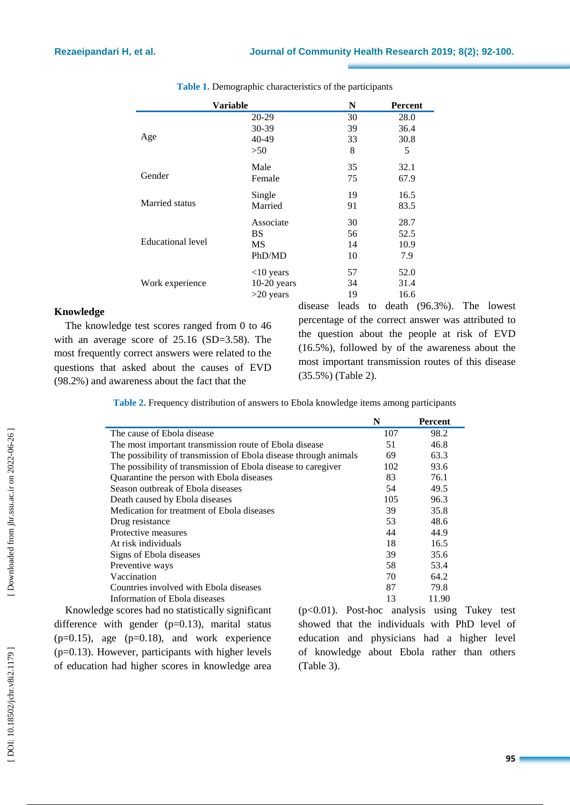| Variable          | N             | <b>Percent</b> |      |  |
|-------------------|---------------|----------------|------|--|
|                   | 20-29         | 30             | 28.0 |  |
| Age               | $30-39$       | 39             | 36.4 |  |
|                   | $40 - 49$     | 33             | 30.8 |  |
|                   | >50           | 8              | 5    |  |
| Gender            | Male          | 35             | 32.1 |  |
|                   | Female        | 75             | 67.9 |  |
| Married status    | Single        | 19             | 16.5 |  |
|                   | Married       | 91             | 83.5 |  |
| Educational level | Associate     | 30             | 28.7 |  |
|                   | BS            | 56             | 52.5 |  |
|                   | MS            | 14             | 10.9 |  |
|                   | PhD/MD        | 10             | 7.9  |  |
| Work experience   | $<$ 10 years  | 57             | 52.0 |  |
|                   | $10-20$ years | 34             | 31.4 |  |
|                   | $>20$ years   | 19             | 16.6 |  |

**Table 1.** Demographic characteristics of the participants

# **Knowledge**

The knowledge test scores ranged from 0 to 46 with an average score of  $25.16$  (SD=3.58). The most frequently correct answers were related to the questions that asked about the cause s of EVD (98.2% ) and awareness about the fact that the

disease lead s to death (96.3%) . The lowest percentage of the correct answer was attributed to the question about the people at risk of EVD (16.5%), followed by of the awareness about the most important transmission route s of this disease (35.5%) (Table 2 ) .

**Table 2.** Frequency distribution of answers to Ebola knowledge items among participants

|                                                                                                                                                                                                  | N   | Percent |
|--------------------------------------------------------------------------------------------------------------------------------------------------------------------------------------------------|-----|---------|
| The cause of Ebola disease                                                                                                                                                                       | 107 | 98.2    |
| The most important transmission route of Ebola disease                                                                                                                                           | 51  | 46.8    |
| The possibility of transmission of Ebola disease through animals                                                                                                                                 | 69  | 63.3    |
| The possibility of transmission of Ebola disease to caregiver                                                                                                                                    | 102 | 93.6    |
| Quarantine the person with Ebola diseases                                                                                                                                                        | 83  | 76.1    |
| Season outbreak of Ebola diseases                                                                                                                                                                | 54  | 49.5    |
| Death caused by Ebola diseases                                                                                                                                                                   | 105 | 96.3    |
| Medication for treatment of Ebola diseases                                                                                                                                                       | 39  | 35.8    |
| Drug resistance                                                                                                                                                                                  | 53  | 48.6    |
| Protective measures                                                                                                                                                                              | 44  | 44.9    |
| At risk individuals                                                                                                                                                                              | 18  | 16.5    |
| Signs of Ebola diseases                                                                                                                                                                          | 39  | 35.6    |
| Preventive ways                                                                                                                                                                                  | 58  | 53.4    |
| Vaccination                                                                                                                                                                                      | 70  | 64.2    |
| Countries involved with Ebola diseases                                                                                                                                                           | 87  | 79.8    |
| Information of Ebola diseases                                                                                                                                                                    | 13  | 11.90   |
| $\frac{1}{2}$ , $\frac{1}{2}$ , $\frac{1}{2}$ , $\frac{1}{2}$ , $\frac{1}{2}$ , $\frac{1}{2}$ , $\frac{1}{2}$ , $\frac{1}{2}$ , $\frac{1}{2}$ , $\frac{1}{2}$<br>$\sim$ $(0.01)$ $\sim$ $(1.01)$ |     |         |

Knowledge scores had no statistically significant difference with gender  $(p=0.13)$ , marital status  $(p=0.15)$ , age  $(p=0.18)$ , and work experience (p=0.13). However, participants with higher level s of education had higher scores in knowledge area

(p<0.01) . Post -hoc analysis using Tukey test showed that the individuals with PhD level of education and physicians had a higher level of knowledge about Ebola rather than others (Table 3 ) .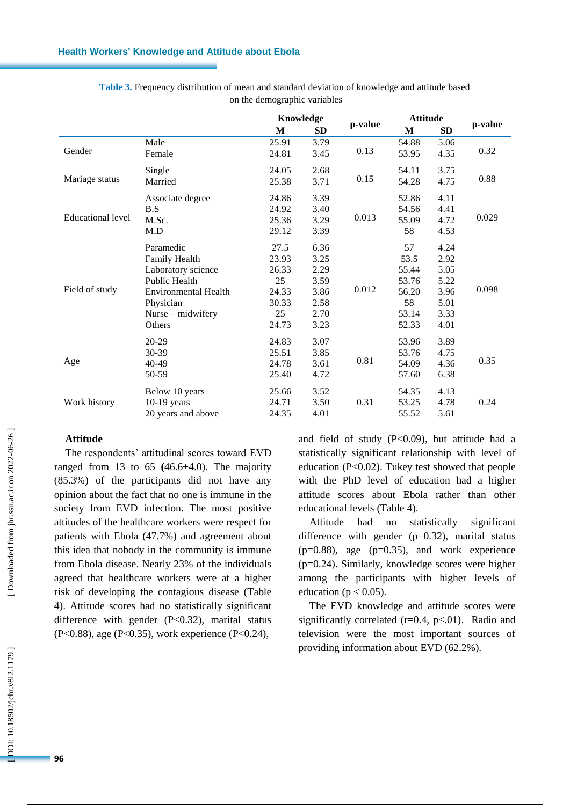#### **Health Workers' Knowledge and Attitude about Ebola**

|                          |                             |       | Knowledge |         | <b>Attitude</b> |      |         |  |
|--------------------------|-----------------------------|-------|-----------|---------|-----------------|------|---------|--|
|                          |                             | M     | <b>SD</b> | p-value | $\mathbf{M}$    | SD   | p-value |  |
|                          | Male                        | 25.91 | 3.79      |         | 54.88           | 5.06 |         |  |
| Gender                   | Female                      | 24.81 | 3.45      | 0.13    | 53.95           | 4.35 | 0.32    |  |
| Mariage status           | Single                      | 24.05 | 2.68      |         | 54.11           | 3.75 |         |  |
|                          | Married                     | 25.38 | 3.71      | 0.15    | 54.28           | 4.75 | 0.88    |  |
|                          | Associate degree            | 24.86 | 3.39      |         | 52.86           | 4.11 |         |  |
|                          | B.S                         | 24.92 | 3.40      |         | 54.56           | 4.41 |         |  |
| <b>Educational level</b> | M.Sc.                       | 25.36 | 3.29      | 0.013   | 55.09           | 4.72 | 0.029   |  |
|                          | M.D                         | 29.12 | 3.39      |         | 58              | 4.53 |         |  |
|                          | Paramedic                   | 27.5  | 6.36      |         | 57              | 4.24 |         |  |
|                          | Family Health               | 23.93 | 3.25      |         | 53.5            | 2.92 |         |  |
|                          | Laboratory science          | 26.33 | 2.29      |         | 55.44           | 5.05 |         |  |
|                          | <b>Public Health</b>        | 25    | 3.59      |         | 53.76           | 5.22 |         |  |
| Field of study           | <b>Environmental Health</b> | 24.33 | 3.86      | 0.012   | 56.20           | 3.96 | 0.098   |  |
|                          | Physician                   | 30.33 | 2.58      |         | 58              | 5.01 |         |  |
|                          | Nurse – midwifery           | 25    | 2.70      |         | 53.14           | 3.33 |         |  |
|                          | Others                      | 24.73 | 3.23      |         | 52.33           | 4.01 |         |  |
| Age                      | 20-29                       | 24.83 | 3.07      | 0.81    | 53.96           | 3.89 |         |  |
|                          | 30-39                       | 25.51 | 3.85      |         | 53.76           | 4.75 |         |  |
|                          | 40-49                       | 24.78 | 3.61      |         | 54.09           | 4.36 | 0.35    |  |
|                          | 50-59                       | 25.40 | 4.72      |         | 57.60           | 6.38 |         |  |
| Work history             | Below 10 years              | 25.66 | 3.52      |         | 54.35           | 4.13 |         |  |
|                          | $10-19$ years               | 24.71 | 3.50      | 0.31    | 53.25           | 4.78 | 0.24    |  |
|                          | 20 years and above          | 24.35 | 4.01      |         | 55.52           | 5.61 |         |  |

**Table 3.** Frequency distribution of mean and standard deviation of knowledge and attitude based on the demographic variables

# **Attitude**

The respondents' attitudinal scores toward EVD ranged from 13 to  $65$   $(46.6\pm4.0)$ . The majority (85.3% ) of the participants did not have any opinion about the fact that no one is immune in the society from EVD infection. The most positive attitudes of the healthcare workers were respect for patients with Ebola (47.7%) and agreement about this idea that nobody in the community is immune from Ebola disease. Nearly 23% of the individuals agreed that healthcare workers were at a higher risk of developing the contagious disease (Table 4 ) . Attitude scores had no statistically significant difference with gender (P<0.32), marital status (P<0.88), age (P<0.35), work experience (P<0.24) ,

and field of study (P<0.09) , but attitude had a statistically significant relationship with level of education (P<0.02) . Tukey test showed that people with the PhD level of education had a higher attitude score s about Ebola rather than other educational levels (Table 4 ) .

Attitude had no statistically significant difference with gender (p=0.32), marital status (p=0.88), age (p=0.35), and work experience (p=0.24). Similarly, knowledge scores were higher among the participants with higher level s of education ( $p < 0.05$ ).

The EVD knowledge and attitude scores were significantly correlated  $(r=0.4, p<0.1)$ . Radio and television were the most important sources of providing information about EVD (62.2%).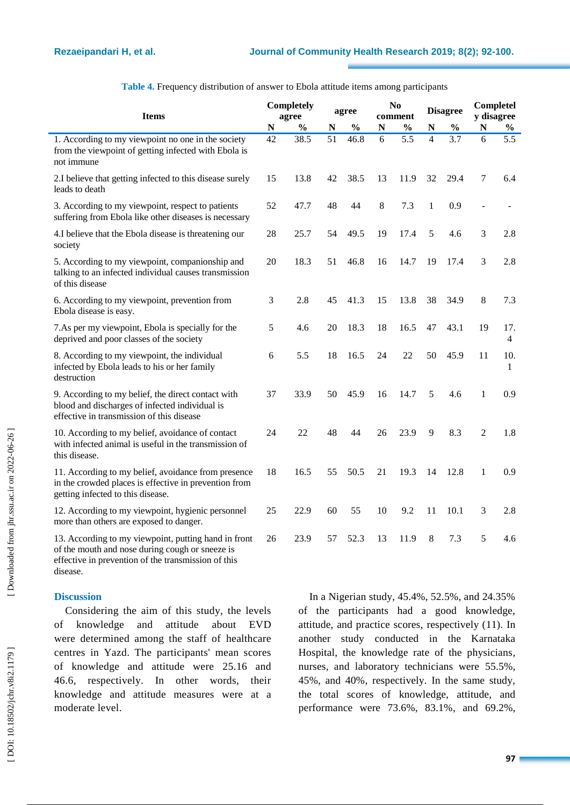| <b>Items</b>                                                                                                                                                   |    | <b>Completely</b><br>agree |    | agree         |    | N <sub>0</sub><br>comment |                | <b>Disagree</b> |                | Completel<br>y disagree |  |
|----------------------------------------------------------------------------------------------------------------------------------------------------------------|----|----------------------------|----|---------------|----|---------------------------|----------------|-----------------|----------------|-------------------------|--|
|                                                                                                                                                                | N  | $\frac{0}{0}$              | N  | $\frac{0}{0}$ | N  | $\frac{0}{0}$             | N              | $\frac{0}{0}$   | N              | $\%$                    |  |
| 1. According to my viewpoint no one in the society<br>from the viewpoint of getting infected with Ebola is<br>not immune                                       | 42 | 38.5                       | 51 | 46.8          | 6  | 5.5                       | $\overline{4}$ | 3.7             | 6              | 5.5                     |  |
| 2.I believe that getting infected to this disease surely<br>leads to death                                                                                     | 15 | 13.8                       | 42 | 38.5          | 13 | 11.9                      | 32             | 29.4            | 7              | 6.4                     |  |
| 3. According to my viewpoint, respect to patients<br>suffering from Ebola like other diseases is necessary                                                     | 52 | 47.7                       | 48 | 44            | 8  | 7.3                       | $\mathbf{1}$   | 0.9             |                |                         |  |
| 4.I believe that the Ebola disease is threatening our<br>society                                                                                               | 28 | 25.7                       | 54 | 49.5          | 19 | 17.4                      | 5              | 4.6             | 3              | 2.8                     |  |
| 5. According to my viewpoint, companionship and<br>talking to an infected individual causes transmission<br>of this disease                                    | 20 | 18.3                       | 51 | 46.8          | 16 | 14.7                      | 19             | 17.4            | 3              | 2.8                     |  |
| 6. According to my viewpoint, prevention from<br>Ebola disease is easy.                                                                                        | 3  | 2.8                        | 45 | 41.3          | 15 | 13.8                      | 38             | 34.9            | 8              | 7.3                     |  |
| 7. As per my viewpoint, Ebola is specially for the<br>deprived and poor classes of the society                                                                 | 5  | 4.6                        | 20 | 18.3          | 18 | 16.5                      | 47             | 43.1            | 19             | 17.<br>4                |  |
| 8. According to my viewpoint, the individual<br>infected by Ebola leads to his or her family<br>destruction                                                    | 6  | 5.5                        | 18 | 16.5          | 24 | 22                        | 50             | 45.9            | 11             | 10.<br>$\mathbf{1}$     |  |
| 9. According to my belief, the direct contact with<br>blood and discharges of infected individual is<br>effective in transmission of this disease              | 37 | 33.9                       | 50 | 45.9          | 16 | 14.7                      | 5              | 4.6             | 1              | 0.9                     |  |
| 10. According to my belief, avoidance of contact<br>with infected animal is useful in the transmission of<br>this disease.                                     | 24 | 22                         | 48 | 44            | 26 | 23.9                      | 9              | 8.3             | $\overline{2}$ | 1.8                     |  |
| 11. According to my belief, avoidance from presence<br>in the crowded places is effective in prevention from<br>getting infected to this disease.              | 18 | 16.5                       | 55 | 50.5          | 21 | 19.3                      | 14             | 12.8            | 1              | 0.9                     |  |
| 12. According to my viewpoint, hygienic personnel<br>more than others are exposed to danger.                                                                   | 25 | 22.9                       | 60 | 55            | 10 | 9.2                       | 11             | 10.1            | 3              | 2.8                     |  |
| 13. According to my viewpoint, putting hand in front<br>of the mouth and nose during cough or sneeze is<br>effective in prevention of the transmission of this | 26 | 23.9                       | 57 | 52.3          | 13 | 11.9                      | 8              | 7.3             | 5              | 4.6                     |  |

**Table 4.** Frequency distribution of answer to Ebola attitude items among participants

# **Discussion**

disease.

Considering the aim of this study, the levels of knowledge and attitude about EVD were determined among the staff of healthcare centres in Yazd. The participants' mean score s of knowledge and attitude were 25 .16 and 46 . 6, respectively. In other words, their knowledge and attitude measures were at a moderate level.

In a Nigerian study, 45.4%, 52.5%, and 24.35% of the participants had a good knowledge, attitude, and practice scores, respectively (11). In another study conducted in the Karnataka Hospital, the knowledge rate of the physicians , nurses, and laboratory technicians were 55.5%, 45%, and 40%, respectively. In the same study, the total scores of knowledge, attitude, and performance were 73.6%, 83.1% , and 69.2%,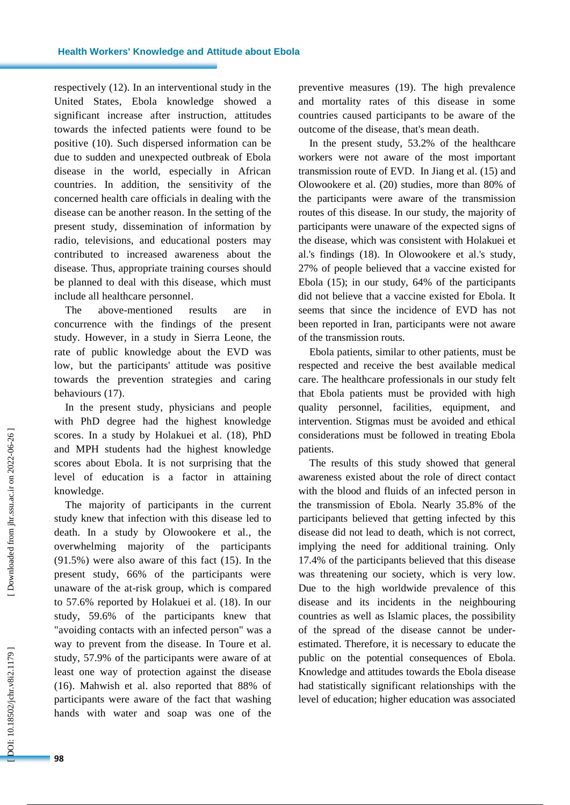respectively (12). In an interventional study in the United States, Ebola knowledge showed a significant increase after instruction, attitudes towards the infected patients were found to be positive (10). Such dispersed information can be due to sudden and unexpected outbreak of Ebola disease in the world, especially in African countries. In addition, the sensitivity of the concerned health care officials in dealing with the disease can be another reason. In the setting of the present study, dissemination of information by radio, televisions, and educational posters may contributed to increased awareness about the disease. Thus, appropriate training courses should be planned to deal with this disease, which must include all healthcare personnel .

The above -mentioned results are in concurrence with the findings of the present study. However, in a study in Sierra Leone, the rate of public knowledge about the EVD was low , but the participants' attitude was positive towards the prevention strategies and caring behaviours (17 ).

In the present study, physicians and people with PhD degree had the highest knowledge scores. In a study by Holakuei et al. (18), PhD and MPH students had the highest knowledge scores about Ebola. It is not surprising that the level of education is a factor in attaining knowledge.

The majority of participants in the current study knew that infection with this disease led to death. In a study by Olowookere et al. , the overwhelming majority of the participants (91.5%) were also aware of this fact (15). In the present study, 66% of the participants were unaware of the at -risk group, which is compared to 57.6% reported by Holakuei et al. (18 ). In our study, 59.6% of the participants knew that "avoiding contacts with an infected person" was a way to prevent from the disease. In Toure et al. study, 57.9% of the participants were aware of at least one way of protection against the disease (16). Mahwish et al. also reported that 88% of participants were aware of the fact that washing hands with water and soap was one of the

preventive measures (19). The high prevalence and mortality rates of this disease in some countries caused participants to be aware of the outcome of the disease, that's mean death .

In the present study, 53.2% of the healthcare workers were not aware of the most important transmission route of EVD. In Jiang et al. (15) and Olowookere et al. (20) studies, more than 80% of the participants were aware of the transmission routes of this disease. In our study, the majority of participants were unaware of the expected signs of the disease, which was consistent with Holakuei et al.'s findings (18). In Olowookere et al.'s study, 27% of people believed that a vaccine existed for Ebola (15 ); in our study, 64% of the participants did not believe that a vaccine existed for Ebola. It seems that since the incidence of EVD has not been reported in Iran, participants were not aware of the transmission routs.

Ebola patients, similar to other patients, must be respected and receive the best available medical care. The healthcare professionals in our study felt that Ebola patients must be provided with high quality personnel, facilities, equipment, and intervention. Stigmas must be avoided and ethical considerations must be followed in treating Ebola patients.

The results of this study showed that general awareness existed about the role of direct contact with the blood and fluids of an infected person in the transmission of Ebola. Nearly 35.8% of the participants believed that getting infected by this disease did not lead to death, which is not correct, implying the need for additional training. Only 17.4% of the participants believed that this disease was threatening our society , which is very low. Due to the high worldwide prevalence of this disease and its incidents in the neighbouring countries as well as Islamic places , the possibility of the spread of the disease cannot be under estimated. Therefore, it is necessary to educate the public on the potential consequences of Ebola. Knowledge and attitudes towards the Ebola disease had statistically significant relationship s with the level of education; higher education was associated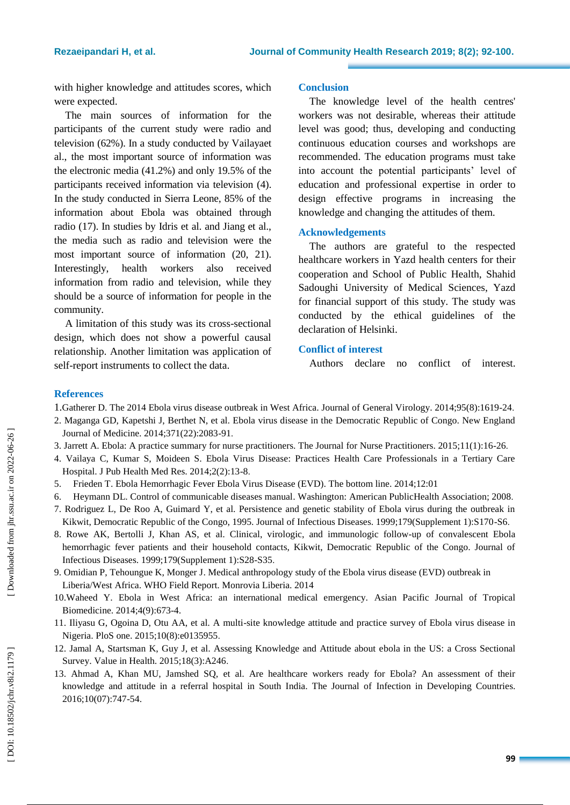with higher knowledge and attitudes scores, which were expected.

The main sources of information for the participants of the current study were radio and television (62%). In a study conducted by Vailayaet al., the most important source of information was the electronic media (41.2%) and only 19.5% of the participants received information via television (4). In the study conducted in Sierra Leone, 85% of the information about Ebola was obtained through radio (17 ). In studies by Idris et al. and Jiang et al., the media such as radio and television were the most important source of information (20, 21). Interestingly, health workers also received information from radio and television, while they should be a source of information for people in the community.

A limitation of this study was its cross -sectional design, which does not show a powerful causal relationship. Another limitation was application of self-report instruments to collect the data.

#### **Conclusion**

The knowledge level of the health centres' workers was not desirable , whereas their attitude level was good; thus, developing and conducting continuous education courses and workshops are recommended. The education programs must take into account the potential participants' level of education and professional expertise in order to design effective programs in increasing the knowledge and changing the attitudes of them .

#### **Acknowledgement s**

The authors are grateful to the respected healthcare workers in Yazd health centers for their cooperation and School of Public Health, Shahid Sadoughi University of Medical Sciences, Yazd for financial support of this study. The study was conducted by the ethical guidelines of the declaration of Helsinki.

#### **Conflict of interest**

Authors declare no conflict of interest.

#### **References**

1.Gatherer D. The 2014 Ebola virus disease outbreak in West Africa. Journal of General Virology. 2014;95(8):1619 -24 .

- 2. Maganga GD, Kapetshi J, Berthet N, et al. Ebola virus disease in the Democratic Republic of Congo. New England Journal of Medicine. 2014;371(22):2083 -91 .
- 3. Jarrett A. Ebola: A practice summary for nurse practitioners. The Journal for Nurse Practitioners. 2015;11(1):16 -26 .
- 4. Vailaya C, Kumar S, Moideen S. Ebola Virus Disease: Practices Health Care Professionals in a Tertiary Care Hospital. J Pub Health Med Res. 2014;2(2):13 - 8 .
- 5. Frieden T. Ebola Hemorrhagic Fever Ebola Virus Disease (EVD). The bottom line. 2014;12:01
- 6. Heymann DL. Control of communicable diseases manual. [Washington](https://www.cabdirect.org/cabdirect/search/?q=lp%3a%22Washington%22) : American PublicHealth Association; 2008 .
- 7. Rodriguez L, De Roo A, Guimard Y, et al. Persistence and genetic stability of Ebola virus during the outbreak in Kikwit, Democratic Republic of the Congo, 1995. Journal of Infectious Diseases. 1999;179(Supplement 1):S170-S6.
- 8. Rowe AK, Bertolli J, Khan AS, et al. Clinical, virologic, and immunologic follow -up of convalescent Ebola hemorrhagic fever patients and their household contacts, Kikwit, Democratic Republic of the Congo. Journal of Infectious Diseases. 1999;179(Supplement 1):S28 -S35 .
- 9. Omidian P, Tehoungue K, Monger J. Medical anthropology study of the Ebola virus disease (EVD) outbreak in Liberia/West Africa. WHO Field Report. Monrovia Liberia. 2014
- 10.Waheed Y. Ebola in West Africa: an international medical emergency. Asian Pacific Journal of Tropical Biomedicine. 2014;4(9):673 -4.
- 11. Iliyasu G, Ogoina D, Otu AA, et al. A multi -site knowledge attitude and practice survey of Ebola virus disease in Nigeria. PloS one. 2015;10(8):e0135955 .
- 12. Jamal A, Startsman K, Guy J, et al. Assessing Knowledge and Attitude about ebola in the US: a Cross Sectional Survey. Value in Health. 2015;18(3):A246 .
- 13. Ahmad A, Khan MU, Jamshed SQ, et al. Are healthcare workers ready for Ebola? An assessment of their knowledge and attitude in a referral hospital in South India. The Journal of Infection in Developing Countries. 2016;10(07):747 -54.